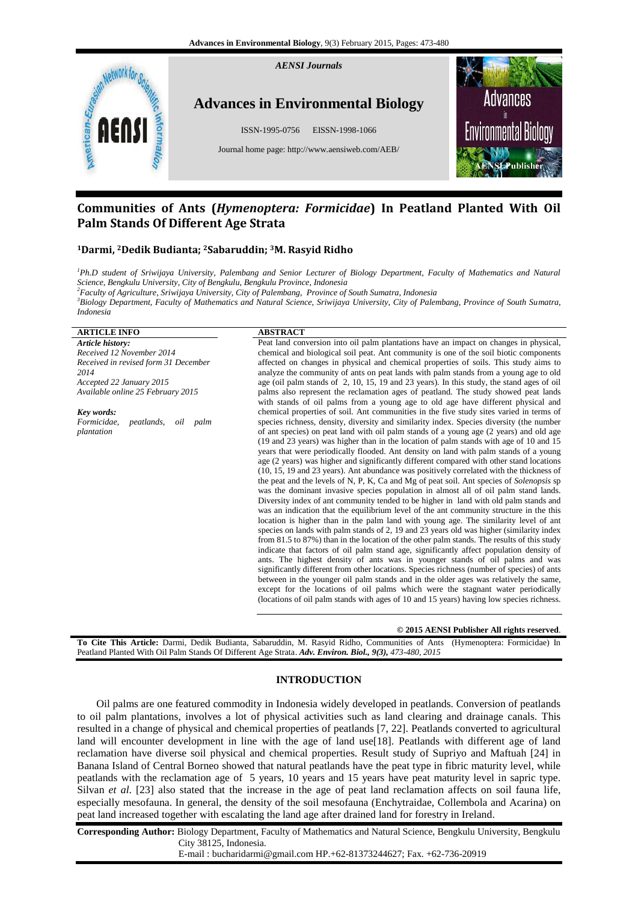

# **Communities of Ants (***Hymenoptera: Formicidae***) In Peatland Planted With Oil Palm Stands Of Different Age Strata**

# **<sup>1</sup>Darmi, <sup>2</sup>Dedik Budianta; 2Sabaruddin; 3M. Rasyid Ridho**

*<sup>1</sup>Ph.D student of Sriwijaya University, Palembang and Senior Lecturer of Biology Department, Faculty of Mathematics and Natural Science, Bengkulu University, City of Bengkulu, Bengkulu Province, Indonesia* 

*<sup>2</sup>Faculty of Agriculture, Sriwijaya University, City of Palembang, Province of South Sumatra, Indonesia*

*<sup>3</sup>Biology Department, Faculty of Mathematics and Natural Science, Sriwijaya University, City of Palembang, Province of South Sumatra, Indonesia*

# **ARTICLE INFO ABSTRACT**

*Article history: Received 12 November 2014 Received in revised form 31 December 2014 Accepted 22 January 2015 Available online 25 February 2015*

*Key words: Formicidae, peatlands, oil palm plantation*

Peat land conversion into oil palm plantations have an impact on changes in physical, chemical and biological soil peat. Ant community is one of the soil biotic components affected on changes in physical and chemical properties of soils. This study aims to analyze the community of ants on peat lands with palm stands from a young age to old age (oil palm stands of 2, 10, 15, 19 and 23 years). In this study, the stand ages of oil palms also represent the reclamation ages of peatland. The study showed peat lands with stands of oil palms from a young age to old age have different physical and chemical properties of soil. Ant communities in the five study sites varied in terms of species richness, density, diversity and similarity index. Species diversity (the number of ant species) on peat land with oil palm stands of a young age (2 years) and old age (19 and 23 years) was higher than in the location of palm stands with age of 10 and 15 years that were periodically flooded. Ant density on land with palm stands of a young age (2 years) was higher and significantly different compared with other stand locations (10, 15, 19 and 23 years). Ant abundance was positively correlated with the thickness of the peat and the levels of N, P, K, Ca and Mg of peat soil. Ant species of *Solenopsis* sp was the dominant invasive species population in almost all of oil palm stand lands. Diversity index of ant community tended to be higher in land with old palm stands and was an indication that the equilibrium level of the ant community structure in the this location is higher than in the palm land with young age. The similarity level of ant species on lands with palm stands of 2, 19 and 23 years old was higher (similarity index from 81.5 to 87%) than in the location of the other palm stands. The results of this study indicate that factors of oil palm stand age, significantly affect population density of ants. The highest density of ants was in younger stands of oil palms and was significantly different from other locations. Species richness (number of species) of ants between in the younger oil palm stands and in the older ages was relatively the same, except for the locations of oil palms which were the stagnant water periodically (locations of oil palm stands with ages of 10 and 15 years) having low species richness.

### **© 2015 AENSI Publisher All rights reserved**.

**To Cite This Article:** Darmi, Dedik Budianta, Sabaruddin, M. Rasyid Ridho, Communities of Ants (Hymenoptera: Formicidae) In Peatland Planted With Oil Palm Stands Of Different Age Strata. *Adv. Environ. Biol., 9(3), 473-480, 2015*

# **INTRODUCTION**

Oil palms are one featured commodity in Indonesia widely developed in peatlands. Conversion of peatlands to oil palm plantations, involves a lot of physical activities such as land clearing and drainage canals. This resulted in a change of physical and chemical properties of peatlands [7, 22]. Peatlands converted to agricultural land will encounter development in line with the age of land use[18]. Peatlands with different age of land reclamation have diverse soil physical and chemical properties. Result study of Supriyo and Maftuah [24] in Banana Island of Central Borneo showed that natural peatlands have the peat type in fibric maturity level, while peatlands with the reclamation age of 5 years, 10 years and 15 years have peat maturity level in sapric type. Silvan *et al*. [23] also stated that the increase in the age of peat land reclamation affects on soil fauna life, especially mesofauna. In general, the density of the soil mesofauna (Enchytraidae, Collembola and Acarina) on peat land increased together with escalating the land age after drained land for forestry in Ireland.

**Corresponding Author:** Biology Department, Faculty of Mathematics and Natural Science, Bengkulu University, Bengkulu City 38125, Indonesia.

E-mail : bucharidarmi@gmail.com HP.+62-81373244627; Fax. +62-736-20919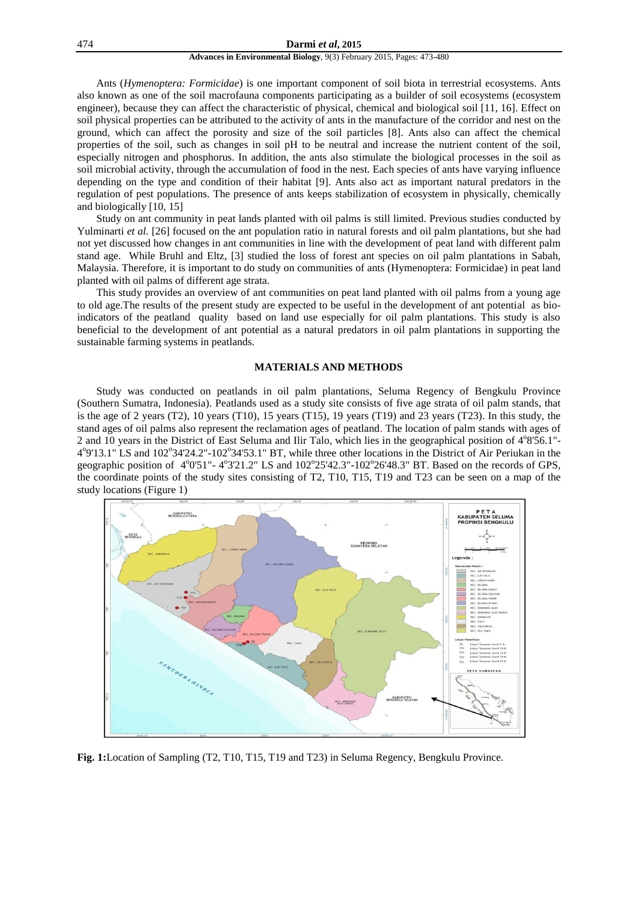### 474 **Darmi** *et al***, 2015**

### **Advances in Environmental Biology**, 9(3) February 2015, Pages: 473-480

Ants (*Hymenoptera: Formicidae*) is one important component of soil biota in terrestrial ecosystems. Ants also known as one of the soil macrofauna components participating as a builder of soil ecosystems (ecosystem engineer), because they can affect the characteristic of physical, chemical and biological soil [11, 16]. Effect on soil physical properties can be attributed to the activity of ants in the manufacture of the corridor and nest on the ground, which can affect the porosity and size of the soil particles [8]. Ants also can affect the chemical properties of the soil, such as changes in soil pH to be neutral and increase the nutrient content of the soil, especially nitrogen and phosphorus. In addition, the ants also stimulate the biological processes in the soil as soil microbial activity, through the accumulation of food in the nest. Each species of ants have varying influence depending on the type and condition of their habitat [9]. Ants also act as important natural predators in the regulation of pest populations. The presence of ants keeps stabilization of ecosystem in physically, chemically and biologically [10, 15]

Study on ant community in peat lands planted with oil palms is still limited. Previous studies conducted by Yulminarti *et al.* [26] focused on the ant population ratio in natural forests and oil palm plantations, but she had not yet discussed how changes in ant communities in line with the development of peat land with different palm stand age. While Bruhl and Eltz, [3] studied the loss of forest ant species on oil palm plantations in Sabah, Malaysia. Therefore, it is important to do study on communities of ants (Hymenoptera: Formicidae) in peat land planted with oil palms of different age strata.

This study provides an overview of ant communities on peat land planted with oil palms from a young age to old age.The results of the present study are expected to be useful in the development of ant potential as bioindicators of the peatland quality based on land use especially for oil palm plantations. This study is also beneficial to the development of ant potential as a natural predators in oil palm plantations in supporting the sustainable farming systems in peatlands.

# **MATERIALS AND METHODS**

Study was conducted on peatlands in oil palm plantations, Seluma Regency of Bengkulu Province (Southern Sumatra, Indonesia). Peatlands used as a study site consists of five age strata of oil palm stands, that is the age of 2 years (T2), 10 years (T10), 15 years (T15), 19 years (T19) and 23 years (T23). In this study, the stand ages of oil palms also represent the reclamation ages of peatland. The location of palm stands with ages of 2 and 10 years in the District of East Seluma and Ilir Talo, which lies in the geographical position of 4°8'56.1"-4<sup>o</sup>9'13.1" LS and 102<sup>o</sup>34'24.2"-102<sup>o</sup>34'53.1" BT, while three other locations in the District of Air Periukan in the geographic position of 4°0'51"-4°3'21.2" LS and 102°25'42.3"-102°26'48.3" BT. Based on the records of GPS, the coordinate points of the study sites consisting of T2, T10, T15, T19 and T23 can be seen on a map of the study locations (Figure 1)



**Fig. 1:**Location of Sampling (T2, T10, T15, T19 and T23) in Seluma Regency, Bengkulu Province.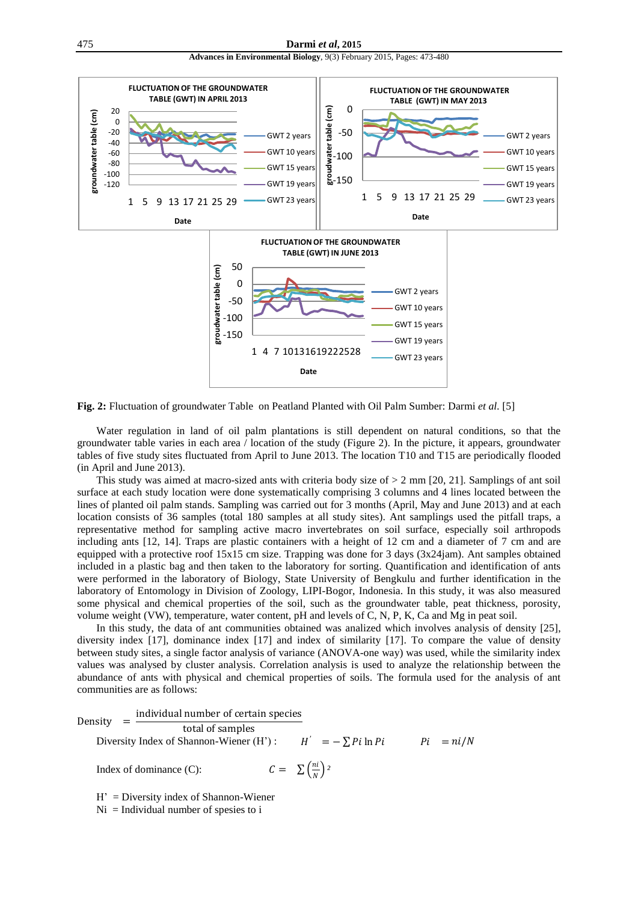



**Fig. 2:** Fluctuation of groundwater Table on Peatland Planted with Oil Palm Sumber: Darmi *et al.* [5]

Water regulation in land of oil palm plantations is still dependent on natural conditions, so that the groundwater table varies in each area / location of the study (Figure 2). In the picture, it appears, groundwater tables of five study sites fluctuated from April to June 2013. The location T10 and T15 are periodically flooded (in April and June 2013).

This study was aimed at macro-sized ants with criteria body size of  $> 2$  mm [20, 21]. Samplings of ant soil surface at each study location were done systematically comprising 3 columns and 4 lines located between the lines of planted oil palm stands. Sampling was carried out for 3 months (April, May and June 2013) and at each location consists of 36 samples (total 180 samples at all study sites). Ant samplings used the pitfall traps, a representative method for sampling active macro invertebrates on soil surface, especially soil arthropods including ants [12, 14]. Traps are plastic containers with a height of 12 cm and a diameter of 7 cm and are equipped with a protective roof 15x15 cm size. Trapping was done for 3 days (3x24jam). Ant samples obtained included in a plastic bag and then taken to the laboratory for sorting. Quantification and identification of ants were performed in the laboratory of Biology, State University of Bengkulu and further identification in the laboratory of Entomology in Division of Zoology, LIPI-Bogor, Indonesia. In this study, it was also measured some physical and chemical properties of the soil, such as the groundwater table, peat thickness, porosity, volume weight (VW), temperature, water content, pH and levels of C, N, P, K, Ca and Mg in peat soil.

In this study, the data of ant communities obtained was analized which involves analysis of density [25], diversity index [17], dominance index [17] and index of similarity [17]. To compare the value of density between study sites, a single factor analysis of variance (ANOVA-one way) was used, while the similarity index values was analysed by cluster analysis. Correlation analysis is used to analyze the relationship between the abundance of ants with physical and chemical properties of soils. The formula used for the analysis of ant communities are as follows:

Density individual number of certain species total of samples Diversity Index of Shannon-Wiener (H') :  $H' = -\sum P_i \ln P_i$   $P_i = ni/N$ Index of dominance  $(C)$ : ni  $\frac{n}{N}$ )<sup>2</sup>

H' = Diversity index of Shannon-Wiener

 $Ni = Individual number of species to i$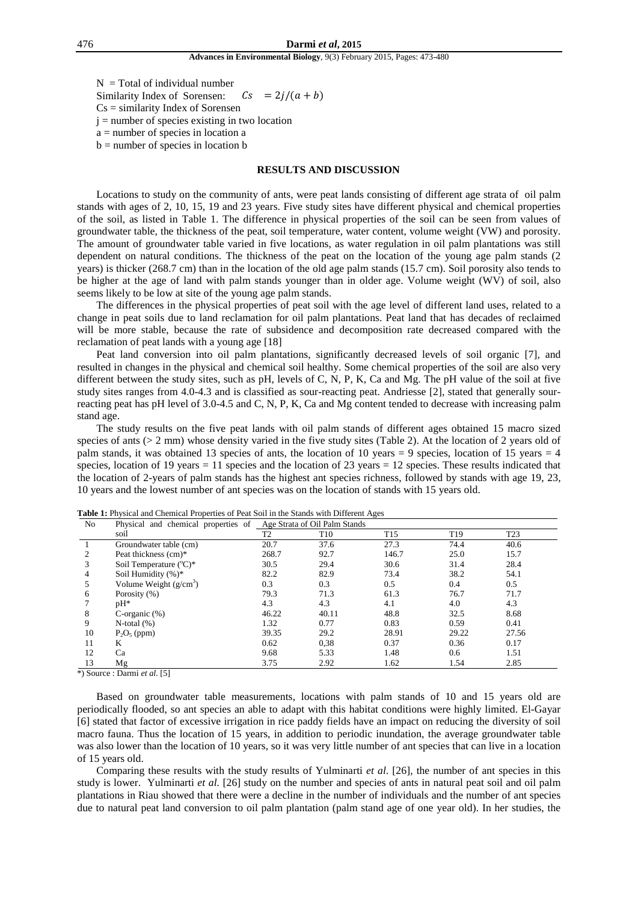$N = Total of individual number$ Similarity Index of Sorensen:  $Cs = 2j/(a + b)$  $Cs =$  similarity Index of Sorensen  $j =$  number of species existing in two location a = number of species in location a

 $b =$  number of species in location  $b$ 

# **RESULTS AND DISCUSSION**

Locations to study on the community of ants, were peat lands consisting of different age strata of oil palm stands with ages of 2, 10, 15, 19 and 23 years. Five study sites have different physical and chemical properties of the soil, as listed in Table 1. The difference in physical properties of the soil can be seen from values of groundwater table, the thickness of the peat, soil temperature, water content, volume weight (VW) and porosity. The amount of groundwater table varied in five locations, as water regulation in oil palm plantations was still dependent on natural conditions. The thickness of the peat on the location of the young age palm stands (2 years) is thicker (268.7 cm) than in the location of the old age palm stands (15.7 cm). Soil porosity also tends to be higher at the age of land with palm stands younger than in older age. Volume weight (WV) of soil, also seems likely to be low at site of the young age palm stands.

The differences in the physical properties of peat soil with the age level of different land uses, related to a change in peat soils due to land reclamation for oil palm plantations. Peat land that has decades of reclaimed will be more stable, because the rate of subsidence and decomposition rate decreased compared with the reclamation of peat lands with a young age [18]

Peat land conversion into oil palm plantations, significantly decreased levels of soil organic [7], and resulted in changes in the physical and chemical soil healthy. Some chemical properties of the soil are also very different between the study sites, such as pH, levels of C, N, P, K, Ca and Mg. The pH value of the soil at five study sites ranges from 4.0-4.3 and is classified as sour-reacting peat. Andriesse [2], stated that generally sourreacting peat has pH level of 3.0-4.5 and C, N, P, K, Ca and Mg content tended to decrease with increasing palm stand age.

The study results on the five peat lands with oil palm stands of different ages obtained 15 macro sized species of ants  $(> 2 \text{ mm})$  whose density varied in the five study sites (Table 2). At the location of 2 years old of palm stands, it was obtained 13 species of ants, the location of 10 years = 9 species, location of 15 years = 4 species, location of 19 years = 11 species and the location of 23 years = 12 species. These results indicated that the location of 2-years of palm stands has the highest ant species richness, followed by stands with age 19, 23, 10 years and the lowest number of ant species was on the location of stands with 15 years old.

| No                          | Physical and chemical properties of | Age Strata of Oil Palm Stands |                 |                 |                 |                 |  |
|-----------------------------|-------------------------------------|-------------------------------|-----------------|-----------------|-----------------|-----------------|--|
|                             | soil                                | T <sub>2</sub>                | T <sub>10</sub> | T <sub>15</sub> | T <sub>19</sub> | T <sub>23</sub> |  |
|                             | Groundwater table (cm)              | 20.7                          | 37.6            | 27.3            | 74.4            | 40.6            |  |
| $\mathcal{D}_{\mathcal{L}}$ | Peat thickness (cm)*                | 268.7                         | 92.7            | 146.7           | 25.0            | 15.7            |  |
|                             | Soil Temperature $({}^{\circ}C)^*$  | 30.5                          | 29.4            | 30.6            | 31.4            | 28.4            |  |
| 4                           | Soil Humidity (%)*                  | 82.2                          | 82.9            | 73.4            | 38.2            | 54.1            |  |
|                             | Volume Weight $(g/cm3)$             | 0.3                           | 0.3             | 0.5             | 0.4             | 0.5             |  |
| 6                           | Porosity (%)                        | 79.3                          | 71.3            | 61.3            | 76.7            | 71.7            |  |
|                             | $pH^*$                              | 4.3                           | 4.3             | 4.1             | 4.0             | 4.3             |  |
| 8                           | C-organic $(\%)$                    | 46.22                         | 40.11           | 48.8            | 32.5            | 8.68            |  |
| 9                           | $N$ -total $(\%)$                   | 1.32                          | 0.77            | 0.83            | 0.59            | 0.41            |  |
| 10                          | $P_2O_5$ (ppm)                      | 39.35                         | 29.2            | 28.91           | 29.22           | 27.56           |  |
| 11                          | K                                   | 0.62                          | 0,38            | 0.37            | 0.36            | 0.17            |  |
| 12                          | Ca                                  | 9.68                          | 5.33            | 1.48            | 0.6             | 1.51            |  |
| 13                          | Mg                                  | 3.75                          | 2.92            | 1.62            | 1.54            | 2.85            |  |

**Table 1:** Physical and Chemical Properties of Peat Soil in the Stands with Different Ages

\*) Source : Darmi *et al.* [5]

Based on groundwater table measurements, locations with palm stands of 10 and 15 years old are periodically flooded, so ant species an able to adapt with this habitat conditions were highly limited. El-Gayar [6] stated that factor of excessive irrigation in rice paddy fields have an impact on reducing the diversity of soil macro fauna. Thus the location of 15 years, in addition to periodic inundation, the average groundwater table was also lower than the location of 10 years, so it was very little number of ant species that can live in a location of 15 years old.

Comparing these results with the study results of Yulminarti *et al*. [26], the number of ant species in this study is lower. Yulminarti *et al.* [26] study on the number and species of ants in natural peat soil and oil palm plantations in Riau showed that there were a decline in the number of individuals and the number of ant species due to natural peat land conversion to oil palm plantation (palm stand age of one year old). In her studies, the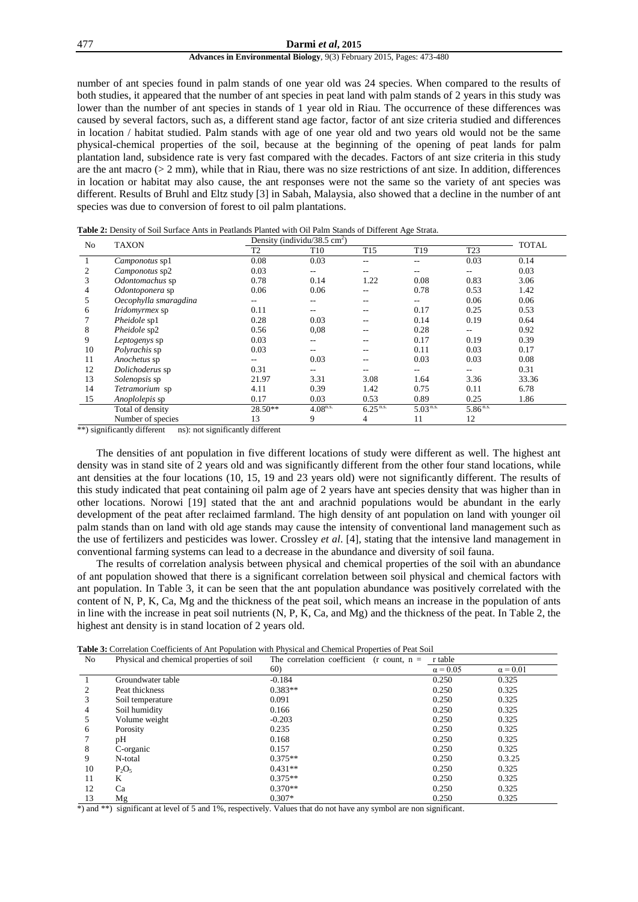#### 477 **Darmi** *et al***, 2015**

### **Advances in Environmental Biology**, 9(3) February 2015, Pages: 473-480

number of ant species found in palm stands of one year old was 24 species. When compared to the results of both studies, it appeared that the number of ant species in peat land with palm stands of 2 years in this study was lower than the number of ant species in stands of 1 year old in Riau. The occurrence of these differences was caused by several factors, such as, a different stand age factor, factor of ant size criteria studied and differences in location / habitat studied. Palm stands with age of one year old and two years old would not be the same physical-chemical properties of the soil, because at the beginning of the opening of peat lands for palm plantation land, subsidence rate is very fast compared with the decades. Factors of ant size criteria in this study are the ant macro (> 2 mm), while that in Riau, there was no size restrictions of ant size. In addition, differences in location or habitat may also cause, the ant responses were not the same so the variety of ant species was different. Results of Bruhl and Eltz study [3] in Sabah, Malaysia, also showed that a decline in the number of ant species was due to conversion of forest to oil palm plantations.

|  |  |  | Table 2: Density of Soil Surface Ants in Peatlands Planted with Oil Palm Stands of Different Age Strata. |  |  |  |  |
|--|--|--|----------------------------------------------------------------------------------------------------------|--|--|--|--|
|--|--|--|----------------------------------------------------------------------------------------------------------|--|--|--|--|

| No | <b>TAXON</b>                                |                | Density (individu/38.5 cm <sup>2</sup> ) |                        |                 |                 | <b>TOTAL</b> |
|----|---------------------------------------------|----------------|------------------------------------------|------------------------|-----------------|-----------------|--------------|
|    |                                             | T <sub>2</sub> | T <sub>10</sub>                          | T <sub>15</sub>        | T <sub>19</sub> | T <sub>23</sub> |              |
|    | Camponotus sp1                              | 0.08           | 0.03                                     | --                     |                 | 0.03            | 0.14         |
|    | Camponotus sp2                              | 0.03           | --                                       | --                     |                 |                 | 0.03         |
| 3  | Odontomachus sp                             | 0.78           | 0.14                                     | 1.22                   | 0.08            | 0.83            | 3.06         |
| 4  | Odontoponera sp                             | 0.06           | 0.06                                     |                        | 0.78            | 0.53            | 1.42         |
| 5  | Oecophylla smaragdina                       |                |                                          | --                     |                 | 0.06            | 0.06         |
| 6  | Iridomyrmex sp                              | 0.11           |                                          | --                     | 0.17            | 0.25            | 0.53         |
|    | Pheidole sp1                                | 0.28           | 0.03                                     | --                     | 0.14            | 0.19            | 0.64         |
| 8  | Pheidole sp2                                | 0.56           | 0.08                                     | --                     | 0.28            |                 | 0.92         |
| 9  | Leptogenys sp                               | 0.03           |                                          |                        | 0.17            | 0.19            | 0.39         |
| 10 | Polyrachis sp                               | 0.03           | --                                       | --                     | 0.11            | 0.03            | 0.17         |
| 11 | Anochetus sp                                |                | 0.03                                     | --                     | 0.03            | 0.03            | 0.08         |
| 12 | Dolichoderus sp                             | 0.31           | --                                       | --                     | $- -$           |                 | 0.31         |
| 13 | Solenopsis sp                               | 21.97          | 3.31                                     | 3.08                   | 1.64            | 3.36            | 33.36        |
| 14 | Tetramorium sp                              | 4.11           | 0.39                                     | 1.42                   | 0.75            | 0.11            | 6.78         |
| 15 | Anoplolepis sp                              | 0.17           | 0.03                                     | 0.53                   | 0.89            | 0.25            | 1.86         |
|    | Total of density                            | 28.50**        | $4.08^{n.s.}$                            | $6.25$ <sup>n.s.</sup> | $5.03^{n.s.}$   | $5.86^{n.s.}$   |              |
|    | Number of species<br>$\cdot$ $\cdot$ $\sim$ | 13<br>$\cdots$ | 9                                        | 4                      | 11              | 12              |              |

 $**$ ) significantly different ns): not significantly different

The densities of ant population in five different locations of study were different as well. The highest ant density was in stand site of 2 years old and was significantly different from the other four stand locations, while ant densities at the four locations (10, 15, 19 and 23 years old) were not significantly different. The results of this study indicated that peat containing oil palm age of 2 years have ant species density that was higher than in other locations. Norowi [19] stated that the ant and arachnid populations would be abundant in the early development of the peat after reclaimed farmland. The high density of ant population on land with younger oil palm stands than on land with old age stands may cause the intensity of conventional land management such as the use of fertilizers and pesticides was lower. Crossley *et al*. [4], stating that the intensive land management in conventional farming systems can lead to a decrease in the abundance and diversity of soil fauna.

The results of correlation analysis between physical and chemical properties of the soil with an abundance of ant population showed that there is a significant correlation between soil physical and chemical factors with ant population. In Table 3, it can be seen that the ant population abundance was positively correlated with the content of N, P, K, Ca, Mg and the thickness of the peat soil, which means an increase in the population of ants in line with the increase in peat soil nutrients (N, P, K, Ca, and Mg) and the thickness of the peat. In Table 2, the highest ant density is in stand location of 2 years old.

| <b>Table 3:</b> Correlation Coefficients of Ant Population with Physical and Chemical Properties of Peat Soil |  |  |  |
|---------------------------------------------------------------------------------------------------------------|--|--|--|
|---------------------------------------------------------------------------------------------------------------|--|--|--|

| N <sub>o</sub> | Physical and chemical properties of soil | The correlation coefficient<br>$(r \text{ count. } n =$ | r table         |                 |
|----------------|------------------------------------------|---------------------------------------------------------|-----------------|-----------------|
|                |                                          | 60)                                                     | $\alpha$ = 0.05 | $\alpha$ = 0.01 |
|                | Groundwater table                        | $-0.184$                                                | 0.250           | 0.325           |
|                | Peat thickness                           | $0.383**$                                               | 0.250           | 0.325           |
| 3              | Soil temperature                         | 0.091                                                   | 0.250           | 0.325           |
| 4              | Soil humidity                            | 0.166                                                   | 0.250           | 0.325           |
| 5              | Volume weight                            | $-0.203$                                                | 0.250           | 0.325           |
| 6              | Porosity                                 | 0.235                                                   | 0.250           | 0.325           |
|                | pH                                       | 0.168                                                   | 0.250           | 0.325           |
| 8              | C-organic                                | 0.157                                                   | 0.250           | 0.325           |
| 9              | N-total                                  | $0.375**$                                               | 0.250           | 0.3.25          |
| 10             | $P_2O_5$                                 | $0.431**$                                               | 0.250           | 0.325           |
| 11             | K                                        | $0.375**$                                               | 0.250           | 0.325           |
| 12             | Ca                                       | $0.370**$                                               | 0.250           | 0.325           |
| 13             | Mg                                       | $0.307*$                                                | 0.250           | 0.325           |

\*) and \*\*) significant at level of 5 and 1%, respectively. Values that do not have any symbol are non significant.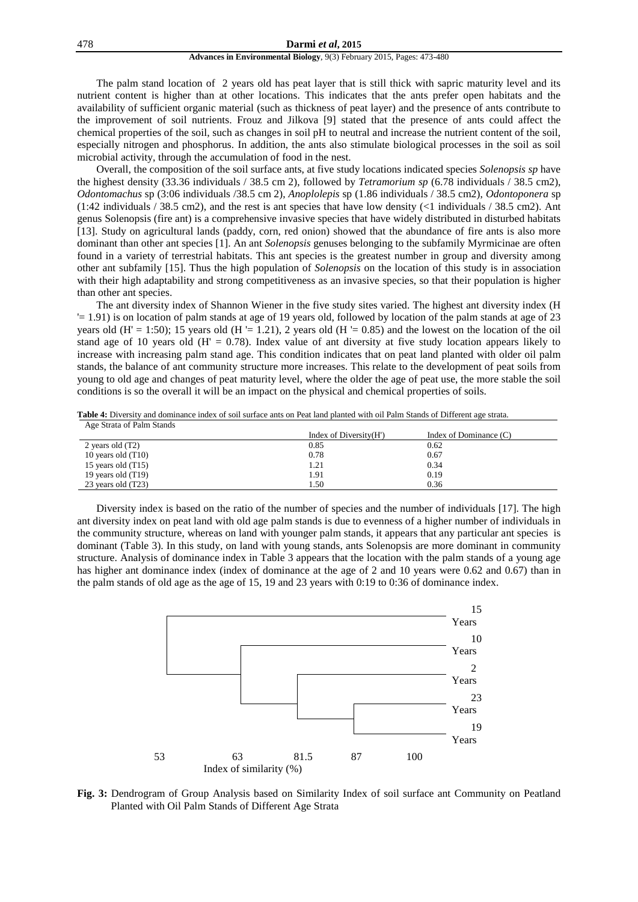#### **Advances in Environmental Biology**, 9(3) February 2015, Pages: 473-480

The palm stand location of 2 years old has peat layer that is still thick with sapric maturity level and its nutrient content is higher than at other locations. This indicates that the ants prefer open habitats and the availability of sufficient organic material (such as thickness of peat layer) and the presence of ants contribute to the improvement of soil nutrients. Frouz and Jilkova [9] stated that the presence of ants could affect the chemical properties of the soil, such as changes in soil pH to neutral and increase the nutrient content of the soil, especially nitrogen and phosphorus. In addition, the ants also stimulate biological processes in the soil as soil microbial activity, through the accumulation of food in the nest.

Overall, the composition of the soil surface ants, at five study locations indicated species *Solenopsis sp* have the highest density (33.36 individuals / 38.5 cm 2), followed by *Tetramorium sp* (6.78 individuals / 38.5 cm2), *Odontomachus* sp (3:06 individuals /38.5 cm 2), *Anoplolepis* sp (1.86 individuals / 38.5 cm2), *Odontoponera* sp  $(1:42 \text{ individuals} / 38.5 \text{ cm}^2)$ , and the rest is ant species that have low density (<1 individuals / 38.5 cm2). Ant genus Solenopsis (fire ant) is a comprehensive invasive species that have widely distributed in disturbed habitats [13]. Study on agricultural lands (paddy, corn, red onion) showed that the abundance of fire ants is also more dominant than other ant species [1]. An ant *Solenopsis* genuses belonging to the subfamily Myrmicinae are often found in a variety of terrestrial habitats. This ant species is the greatest number in group and diversity among other ant subfamily [15]. Thus the high population of *Solenopsis* on the location of this study is in association with their high adaptability and strong competitiveness as an invasive species, so that their population is higher than other ant species.

The ant diversity index of Shannon Wiener in the five study sites varied. The highest ant diversity index (H '= 1.91) is on location of palm stands at age of 19 years old, followed by location of the palm stands at age of 23 years old (H' = 1:50); 15 years old (H '= 1.21), 2 years old (H '= 0.85) and the lowest on the location of the oil stand age of 10 years old  $(H' = 0.78)$ . Index value of ant diversity at five study location appears likely to increase with increasing palm stand age. This condition indicates that on peat land planted with older oil palm stands, the balance of ant community structure more increases. This relate to the development of peat soils from young to old age and changes of peat maturity level, where the older the age of peat use, the more stable the soil conditions is so the overall it will be an impact on the physical and chemical properties of soils.

| Age Strata of Palm Stands |                        |                          |  |
|---------------------------|------------------------|--------------------------|--|
|                           | Index of Diversity(H') | Index of Dominance $(C)$ |  |
| 2 years old (T2)          | 0.85                   | 0.62                     |  |
| 10 years old $(T10)$      | 0.78                   | 0.67                     |  |
| 15 years old $(T15)$      | 1.21                   | 0.34                     |  |
| 19 years old $(T19)$      | 1.91                   | 0.19                     |  |
| 23 years old (T23)        | . . 50                 | 0.36                     |  |

**Table 4:** Diversity and dominance index of soil surface ants on Peat land planted with oil Palm Stands of Different age strata.

Diversity index is based on the ratio of the number of species and the number of individuals [17]. The high ant diversity index on peat land with old age palm stands is due to evenness of a higher number of individuals in the community structure, whereas on land with younger palm stands, it appears that any particular ant species is dominant (Table 3). In this study, on land with young stands, ants Solenopsis are more dominant in community structure. Analysis of dominance index in Table 3 appears that the location with the palm stands of a young age has higher ant dominance index (index of dominance at the age of 2 and 10 years were 0.62 and 0.67) than in the palm stands of old age as the age of 15, 19 and 23 years with 0:19 to 0:36 of dominance index.



**Fig. 3:** Dendrogram of Group Analysis based on Similarity Index of soil surface ant Community on Peatland Planted with Oil Palm Stands of Different Age Strata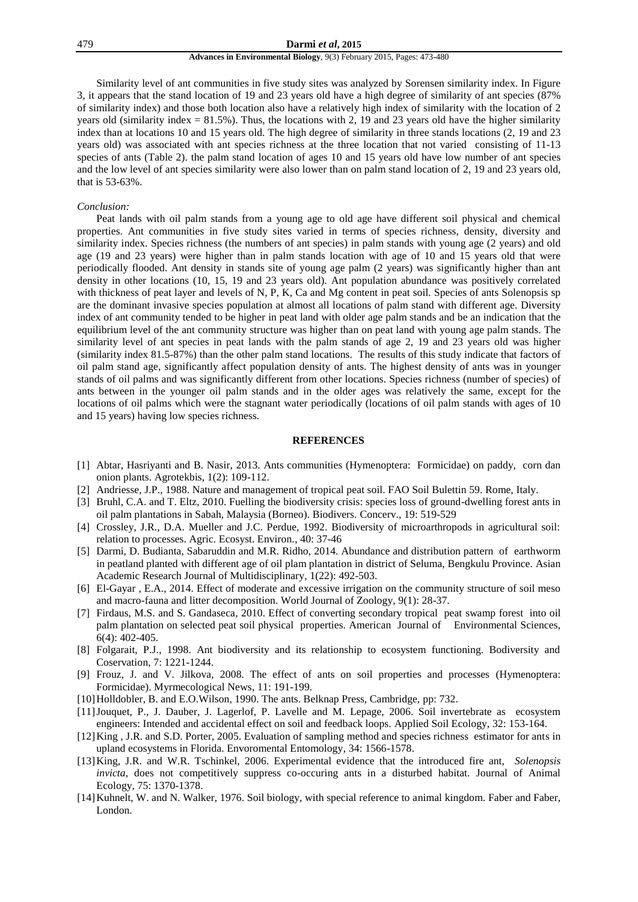#### 479 **Darmi** *et al***, 2015**

### **Advances in Environmental Biology**, 9(3) February 2015, Pages: 473-480

Similarity level of ant communities in five study sites was analyzed by Sorensen similarity index. In Figure 3, it appears that the stand location of 19 and 23 years old have a high degree of similarity of ant species (87% of similarity index) and those both location also have a relatively high index of similarity with the location of 2 years old (similarity index  $= 81.5\%$ ). Thus, the locations with 2, 19 and 23 years old have the higher similarity index than at locations 10 and 15 years old. The high degree of similarity in three stands locations (2, 19 and 23 years old) was associated with ant species richness at the three location that not varied consisting of 11-13 species of ants (Table 2). the palm stand location of ages 10 and 15 years old have low number of ant species and the low level of ant species similarity were also lower than on palm stand location of 2, 19 and 23 years old, that is 53-63%.

# *Conclusion:*

Peat lands with oil palm stands from a young age to old age have different soil physical and chemical properties. Ant communities in five study sites varied in terms of species richness, density, diversity and similarity index. Species richness (the numbers of ant species) in palm stands with young age (2 years) and old age (19 and 23 years) were higher than in palm stands location with age of 10 and 15 years old that were periodically flooded. Ant density in stands site of young age palm (2 years) was significantly higher than ant density in other locations (10, 15, 19 and 23 years old). Ant population abundance was positively correlated with thickness of peat layer and levels of N, P, K, Ca and Mg content in peat soil. Species of ants Solenopsis sp are the dominant invasive species population at almost all locations of palm stand with different age. Diversity index of ant community tended to be higher in peat land with older age palm stands and be an indication that the equilibrium level of the ant community structure was higher than on peat land with young age palm stands. The similarity level of ant species in peat lands with the palm stands of age 2, 19 and 23 years old was higher (similarity index 81.5-87%) than the other palm stand locations. The results of this study indicate that factors of oil palm stand age, significantly affect population density of ants. The highest density of ants was in younger stands of oil palms and was significantly different from other locations. Species richness (number of species) of ants between in the younger oil palm stands and in the older ages was relatively the same, except for the locations of oil palms which were the stagnant water periodically (locations of oil palm stands with ages of 10 and 15 years) having low species richness.

# **REFERENCES**

- [1] Abtar, Hasriyanti and B. Nasir, 2013. Ants communities (Hymenoptera: Formicidae) on paddy, corn dan onion plants. Agrotekbis, 1(2): 109-112.
- [2] Andriesse, J.P., 1988. Nature and management of tropical peat soil. FAO Soil Bulettin 59. Rome, Italy.
- [3] Bruhl, C.A. and T. Eltz, 2010. Fuelling the biodiversity crisis: species loss of ground-dwelling forest ants in oil palm plantations in Sabah, Malaysia (Borneo). Biodivers. Concerv., 19: 519-529
- [4] Crossley, J.R., D.A. Mueller and J.C. Perdue, 1992. Biodiversity of microarthropods in agricultural soil: relation to processes. Agric. Ecosyst. Environ., 40: 37-46
- [5] Darmi, D. Budianta, Sabaruddin and M.R. Ridho, 2014. Abundance and distribution pattern of earthworm in peatland planted with different age of oil plam plantation in district of Seluma, Bengkulu Province. Asian Academic Research Journal of Multidisciplinary, 1(22): 492-503.
- [6] El-Gayar , E.A., 2014. Effect of moderate and excessive irrigation on the community structure of soil meso and macro-fauna and litter decomposition. World Journal of Zoology, 9(1): 28-37.
- [7] Firdaus, M.S. and S. Gandaseca, 2010. Effect of converting secondary tropical peat swamp forest into oil palm plantation on selected peat soil physical properties. American Journal of Environmental Sciences, 6(4): 402-405.
- [8] Folgarait, P.J., 1998. Ant biodiversity and its relationship to ecosystem functioning. Bodiversity and Coservation, 7: 1221-1244.
- [9] Frouz, J. and V. Jilkova, 2008. The effect of ants on soil properties and processes (Hymenoptera: Formicidae). Myrmecological News, 11: 191-199.
- [10]Holldobler, B. and E.O.Wilson, 1990. The ants. Belknap Press, Cambridge, pp: 732.
- [11]Jouquet, P., J. Dauber, J. Lagerlof, P. Lavelle and M. Lepage, 2006. Soil invertebrate as ecosystem engineers: Intended and accidental effect on soil and feedback loops. Applied Soil Ecology, 32: 153-164.
- [12]King , J.R. and S.D. Porter, 2005. Evaluation of sampling method and species richness estimator for ants in upland ecosystems in Florida. Envoromental Entomology, 34: 1566-1578.
- [13]King, J.R. and W.R. Tschinkel, 2006. Experimental evidence that the introduced fire ant, *Solenopsis invicta,* does not competitively suppress co-occuring ants in a disturbed habitat. Journal of Animal Ecology, 75: 1370-1378.
- [14] Kuhnelt, W. and N. Walker, 1976. Soil biology, with special reference to animal kingdom. Faber and Faber, London.